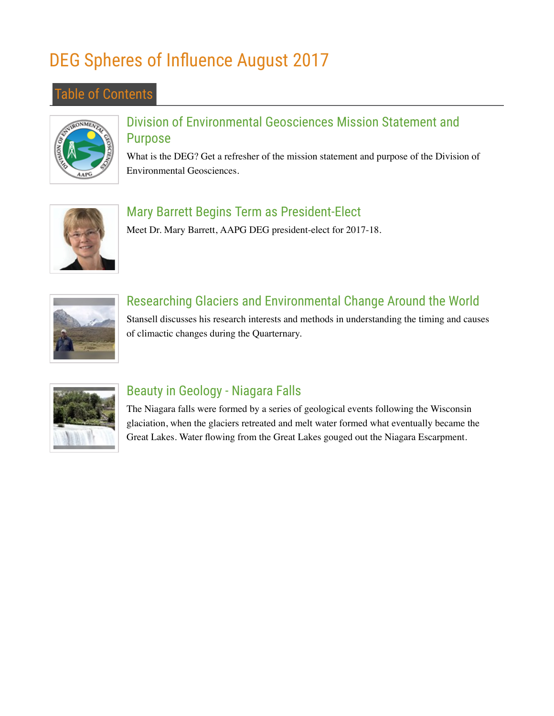# DEG Spheres of Influence August 2017

#### Table of Contents



#### Division of Environmental Geosciences Mission Statement and Purpose

What is the DEG? Get a refresher of the mission statement and purpose of the Division of Environmental Geosciences.



#### Mary Barrett Begins Term as President-Elect

Meet Dr. Mary Barrett, AAPG DEG president-elect for 2017-18.



### Researching Glaciers and Environmental Change Around the World

Stansell discusses his research interests and methods in understanding the timing and causes of climactic changes during the Quarternary.



### Beauty in Geology - Niagara Falls

The Niagara falls were formed by a series of geological events following the Wisconsin glaciation, when the glaciers retreated and melt water formed what eventually became the Great Lakes. Water flowing from the Great Lakes gouged out the Niagara Escarpment.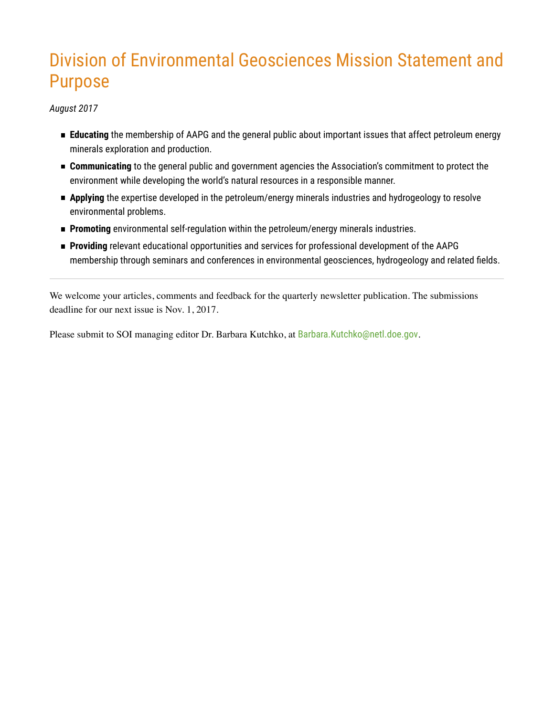## Division of Environmental Geosciences Mission Statement and Purpose

*August 2017*

- **Educating** the membership of AAPG and the general public about important issues that affect petroleum energy minerals exploration and production.
- **Communicating** to the general public and government agencies the Association's commitment to protect the environment while developing the world's natural resources in a responsible manner.
- **Applying** the expertise developed in the petroleum/energy minerals industries and hydrogeology to resolve environmental problems.
- **Promoting** environmental self-regulation within the petroleum/energy minerals industries.
- **Providing** relevant educational opportunities and services for professional development of the AAPG membership through seminars and conferences in environmental geosciences, hydrogeology and related fields.

We welcome your articles, comments and feedback for the quarterly newsletter publication. The submissions deadline for our next issue is Nov. 1, 2017.

Please submit to SOI managing editor Dr. Barbara Kutchko, at Barbara.Kutchko@netl.doe.gov.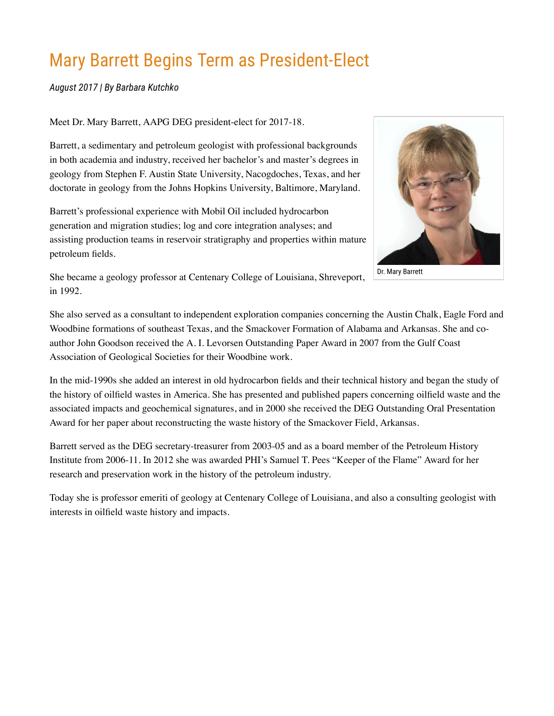# Mary Barrett Begins Term as President-Elect

*August 2017 | By Barbara Kutchko*

Meet Dr. Mary Barrett, AAPG DEG president-elect for 2017-18.

Barrett, a sedimentary and petroleum geologist with professional backgrounds in both academia and industry, received her bachelor's and master's degrees in geology from Stephen F. Austin State University, Nacogdoches, Texas, and her doctorate in geology from the Johns Hopkins University, Baltimore, Maryland.

Barrett's professional experience with Mobil Oil included hydrocarbon generation and migration studies; log and core integration analyses; and assisting production teams in reservoir stratigraphy and properties within mature petroleum fields.



She became a geology professor at Centenary College of Louisiana, Shreveport, in 1992.

She also served as a consultant to independent exploration companies concerning the Austin Chalk, Eagle Ford and Woodbine formations of southeast Texas, and the Smackover Formation of Alabama and Arkansas. She and coauthor John Goodson received the A. I. Levorsen Outstanding Paper Award in 2007 from the Gulf Coast Association of Geological Societies for their Woodbine work.

In the mid-1990s she added an interest in old hydrocarbon fields and their technical history and began the study of the history of oilfield wastes in America. She has presented and published papers concerning oilfield waste and the associated impacts and geochemical signatures, and in 2000 she received the DEG Outstanding Oral Presentation Award for her paper about reconstructing the waste history of the Smackover Field, Arkansas.

Barrett served as the DEG secretary-treasurer from 2003-05 and as a board member of the Petroleum History Institute from 2006-11. In 2012 she was awarded PHI's Samuel T. Pees "Keeper of the Flame" Award for her research and preservation work in the history of the petroleum industry.

Today she is professor emeriti of geology at Centenary College of Louisiana, and also a consulting geologist with interests in oilfield waste history and impacts.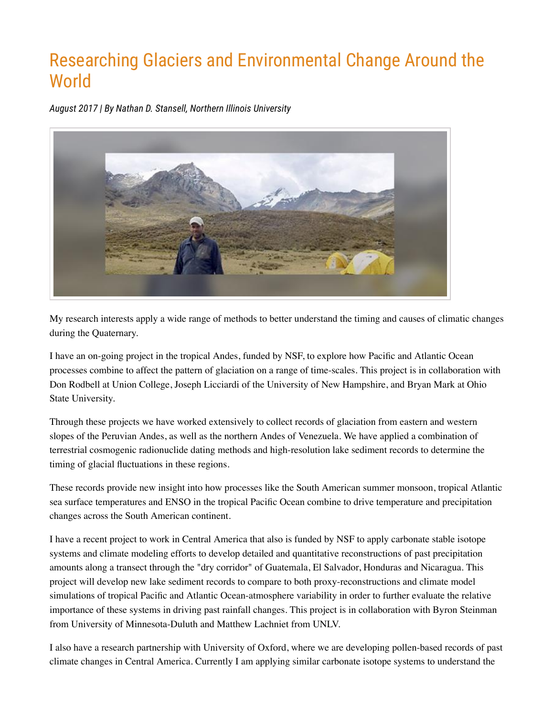### Researching Glaciers and Environmental Change Around the **World**

*August 2017 | By Nathan D. Stansell, Northern Illinois University*



My research interests apply a wide range of methods to better understand the timing and causes of climatic changes during the Quaternary.

I have an on-going project in the tropical Andes, funded by NSF, to explore how Pacific and Atlantic Ocean processes combine to affect the pattern of glaciation on a range of time-scales. This project is in collaboration with Don Rodbell at Union College, Joseph Licciardi of the University of New Hampshire, and Bryan Mark at Ohio State University.

Through these projects we have worked extensively to collect records of glaciation from eastern and western slopes of the Peruvian Andes, as well as the northern Andes of Venezuela. We have applied a combination of terrestrial cosmogenic radionuclide dating methods and high-resolution lake sediment records to determine the timing of glacial fluctuations in these regions.

These records provide new insight into how processes like the South American summer monsoon, tropical Atlantic sea surface temperatures and ENSO in the tropical Pacific Ocean combine to drive temperature and precipitation changes across the South American continent.

I have a recent project to work in Central America that also is funded by NSF to apply carbonate stable isotope systems and climate modeling efforts to develop detailed and quantitative reconstructions of past precipitation amounts along a transect through the "dry corridor" of Guatemala, El Salvador, Honduras and Nicaragua. This project will develop new lake sediment records to compare to both proxy-reconstructions and climate model simulations of tropical Pacific and Atlantic Ocean-atmosphere variability in order to further evaluate the relative importance of these systems in driving past rainfall changes. This project is in collaboration with Byron Steinman from University of Minnesota-Duluth and Matthew Lachniet from UNLV.

I also have a research partnership with University of Oxford, where we are developing pollen-based records of past climate changes in Central America. Currently I am applying similar carbonate isotope systems to understand the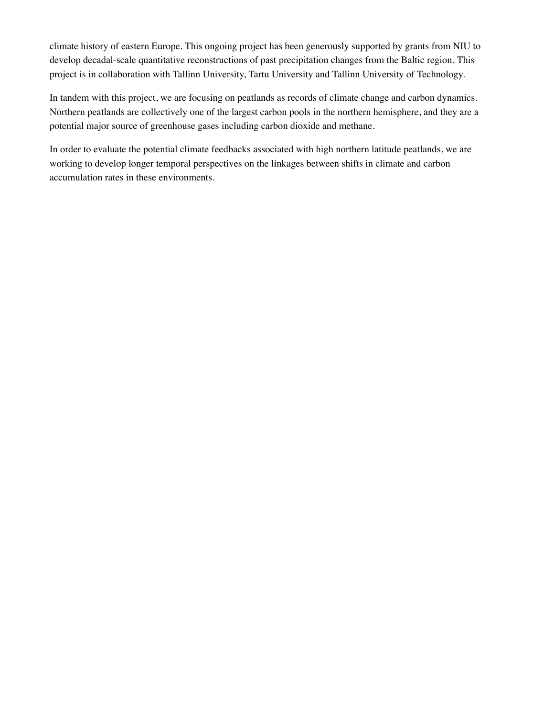climate history of eastern Europe. This ongoing project has been generously supported by grants from NIU to develop decadal-scale quantitative reconstructions of past precipitation changes from the Baltic region. This project is in collaboration with Tallinn University, Tartu University and Tallinn University of Technology.

In tandem with this project, we are focusing on peatlands as records of climate change and carbon dynamics. Northern peatlands are collectively one of the largest carbon pools in the northern hemisphere, and they are a potential major source of greenhouse gases including carbon dioxide and methane.

In order to evaluate the potential climate feedbacks associated with high northern latitude peatlands, we are working to develop longer temporal perspectives on the linkages between shifts in climate and carbon accumulation rates in these environments.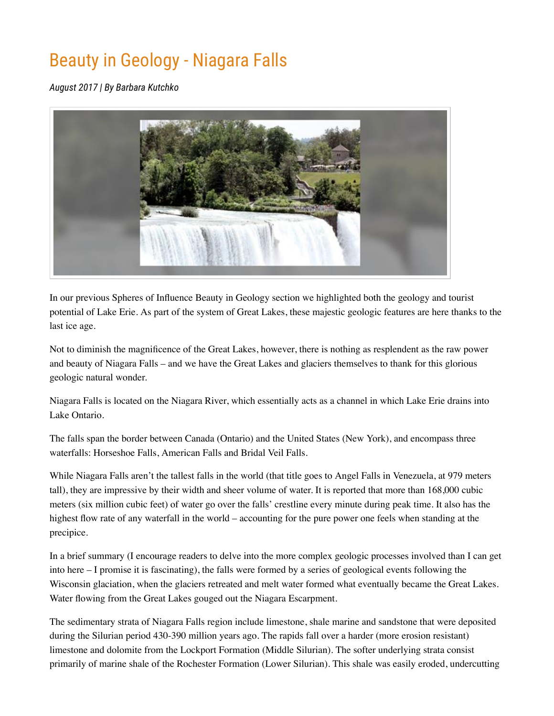# Beauty in Geology - Niagara Falls

*August 2017 | By Barbara Kutchko*



In our previous Spheres of Influence Beauty in Geology section we highlighted both the geology and tourist potential of Lake Erie. As part of the system of Great Lakes, these majestic geologic features are here thanks to the last ice age.

Not to diminish the magnificence of the Great Lakes, however, there is nothing as resplendent as the raw power and beauty of Niagara Falls – and we have the Great Lakes and glaciers themselves to thank for this glorious geologic natural wonder.

Niagara Falls is located on the Niagara River, which essentially acts as a channel in which Lake Erie drains into Lake Ontario.

The falls span the border between Canada (Ontario) and the United States (New York), and encompass three waterfalls: Horseshoe Falls, American Falls and Bridal Veil Falls.

While Niagara Falls aren't the tallest falls in the world (that title goes to Angel Falls in Venezuela, at 979 meters tall), they are impressive by their width and sheer volume of water. It is reported that more than 168,000 cubic meters (six million cubic feet) of water go over the falls' crestline every minute during peak time. It also has the highest flow rate of any waterfall in the world – accounting for the pure power one feels when standing at the precipice.

In a brief summary (I encourage readers to delve into the more complex geologic processes involved than I can get into here – I promise it is fascinating), the falls were formed by a series of geological events following the Wisconsin glaciation, when the glaciers retreated and melt water formed what eventually became the Great Lakes. Water flowing from the Great Lakes gouged out the Niagara Escarpment.

The sedimentary strata of Niagara Falls region include limestone, shale marine and sandstone that were deposited during the Silurian period 430-390 million years ago. The rapids fall over a harder (more erosion resistant) limestone and dolomite from the Lockport Formation (Middle Silurian). The softer underlying strata consist primarily of marine shale of the Rochester Formation (Lower Silurian). This shale was easily eroded, undercutting